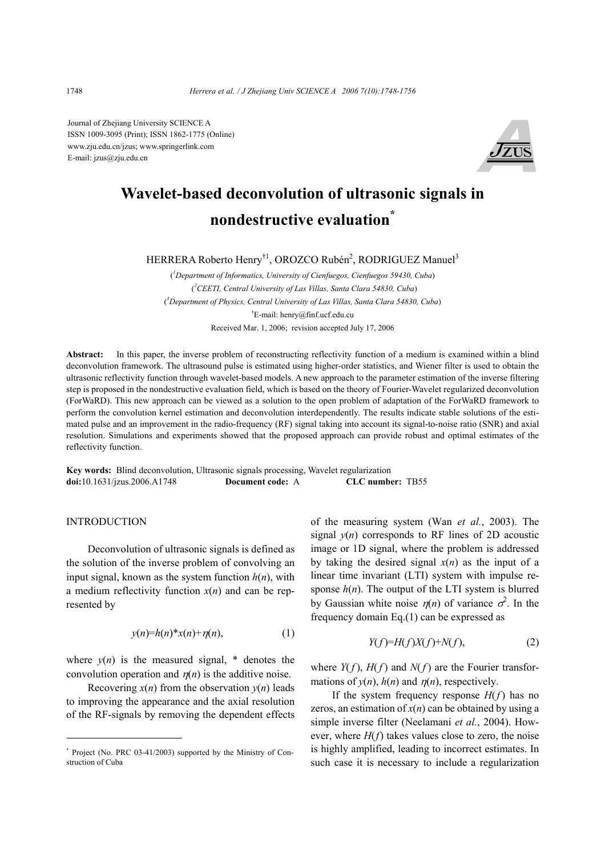Journal of Zhejiang University SCIENCE A ISSN 1009-3095 (Print); ISSN 1862-1775 (Online) www.zju.edu.cn/jzus; www.springerlink.com E-mail: jzus@zju.edu.cn



# **Wavelet-based deconvolution of ultrasonic signals in nondestructive evaluation\***

HERRERA Roberto Henry<sup>†1</sup>, OROZCO Rubén<sup>2</sup>, RODRIGUEZ Manuel<sup>3</sup>

( *1 Department of Informatics, University of Cienfuegos, Cienfuegos 59430, Cuba*) ( *2 CEETI, Central University of Las Villas, Santa Clara 54830, Cuba*) ( *3 Department of Physics, Central University of Las Villas, Santa Clara 54830, Cuba*) † E-mail: henry@finf.ucf.edu.cu Received Mar. 1, 2006; revision accepted July 17, 2006

**Abstract:** In this paper, the inverse problem of reconstructing reflectivity function of a medium is examined within a blind deconvolution framework. The ultrasound pulse is estimated using higher-order statistics, and Wiener filter is used to obtain the ultrasonic reflectivity function through wavelet-based models. A new approach to the parameter estimation of the inverse filtering step is proposed in the nondestructive evaluation field, which is based on the theory of Fourier-Wavelet regularized deconvolution (ForWaRD). This new approach can be viewed as a solution to the open problem of adaptation of the ForWaRD framework to perform the convolution kernel estimation and deconvolution interdependently. The results indicate stable solutions of the estimated pulse and an improvement in the radio-frequency (RF) signal taking into account its signal-to-noise ratio (SNR) and axial resolution. Simulations and experiments showed that the proposed approach can provide robust and optimal estimates of the reflectivity function.

**Key words:** Blind deconvolution, Ultrasonic signals processing, Wavelet regularization **doi:**10.1631/jzus.2006.A1748 **Document code:** A **CLC number:** TB55

# INTRODUCTION

Deconvolution of ultrasonic signals is defined as the solution of the inverse problem of convolving an input signal, known as the system function *h*(*n*), with a medium reflectivity function *x*(*n*) and can be represented by

$$
y(n)=h(n)^{*}x(n)+\eta(n), \qquad (1)
$$

where  $y(n)$  is the measured signal,  $*$  denotes the convolution operation and  $\eta(n)$  is the additive noise.

Recovering  $x(n)$  from the observation  $y(n)$  leads to improving the appearance and the axial resolution of the RF-signals by removing the dependent effects

of the measuring system (Wan *et al.*, 2003). The signal  $y(n)$  corresponds to RF lines of 2D acoustic image or 1D signal, where the problem is addressed by taking the desired signal  $x(n)$  as the input of a linear time invariant (LTI) system with impulse response  $h(n)$ . The output of the LTI system is blurred by Gaussian white noise  $\eta(n)$  of variance  $\sigma^2$ . In the frequency domain Eq.(1) can be expressed as

$$
Y(f)=H(f)X(f)+N(f),\tag{2}
$$

where  $Y(f)$ ,  $H(f)$  and  $N(f)$  are the Fourier transformations of  $y(n)$ ,  $h(n)$  and  $n(n)$ , respectively.

If the system frequency response  $H(f)$  has no zeros, an estimation of  $x(n)$  can be obtained by using a simple inverse filter (Neelamani *et al.*, 2004). However, where *H*(*f*) takes values close to zero, the noise is highly amplified, leading to incorrect estimates. In such case it is necessary to include a regularization

<sup>\*</sup> Project (No. PRC 03-41/2003) supported by the Ministry of Construction of Cuba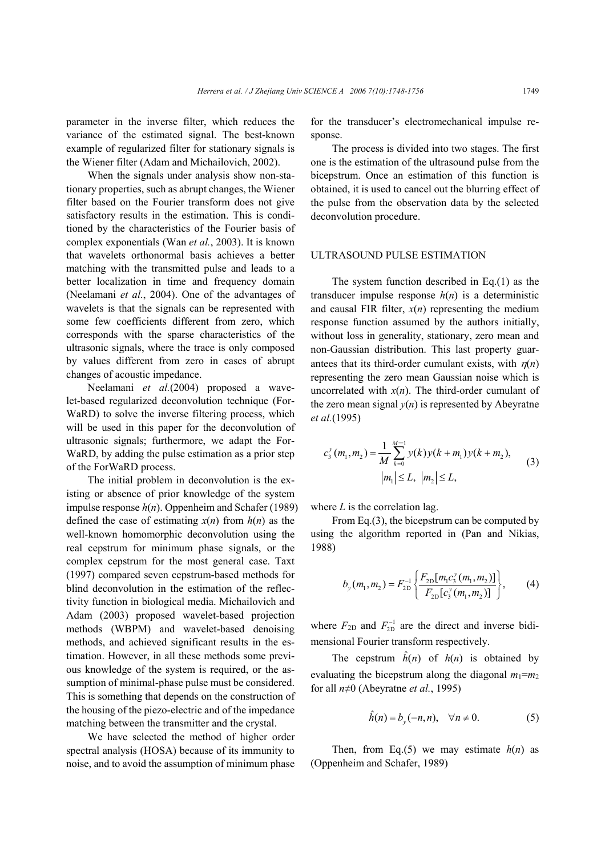parameter in the inverse filter, which reduces the variance of the estimated signal. The best-known example of regularized filter for stationary signals is the Wiener filter (Adam and Michailovich, 2002).

When the signals under analysis show non-stationary properties, such as abrupt changes, the Wiener filter based on the Fourier transform does not give satisfactory results in the estimation. This is conditioned by the characteristics of the Fourier basis of complex exponentials (Wan *et al.*, 2003). It is known that wavelets orthonormal basis achieves a better matching with the transmitted pulse and leads to a better localization in time and frequency domain (Neelamani *et al.*, 2004). One of the advantages of wavelets is that the signals can be represented with some few coefficients different from zero, which corresponds with the sparse characteristics of the ultrasonic signals, where the trace is only composed by values different from zero in cases of abrupt changes of acoustic impedance.

Neelamani *et al.*(2004) proposed a wavelet-based regularized deconvolution technique (For-WaRD) to solve the inverse filtering process, which will be used in this paper for the deconvolution of ultrasonic signals; furthermore, we adapt the For-WaRD, by adding the pulse estimation as a prior step of the ForWaRD process.

The initial problem in deconvolution is the existing or absence of prior knowledge of the system impulse response *h*(*n*). Oppenheim and Schafer (1989) defined the case of estimating  $x(n)$  from  $h(n)$  as the well-known homomorphic deconvolution using the real cepstrum for minimum phase signals, or the complex cepstrum for the most general case. Taxt (1997) compared seven cepstrum-based methods for blind deconvolution in the estimation of the reflectivity function in biological media. Michailovich and Adam (2003) proposed wavelet-based projection methods (WBPM) and wavelet-based denoising methods, and achieved significant results in the estimation. However, in all these methods some previous knowledge of the system is required, or the assumption of minimal-phase pulse must be considered. This is something that depends on the construction of the housing of the piezo-electric and of the impedance matching between the transmitter and the crystal.

We have selected the method of higher order spectral analysis (HOSA) because of its immunity to noise, and to avoid the assumption of minimum phase

for the transducer's electromechanical impulse response.

The process is divided into two stages. The first one is the estimation of the ultrasound pulse from the bicepstrum. Once an estimation of this function is obtained, it is used to cancel out the blurring effect of the pulse from the observation data by the selected deconvolution procedure.

# ULTRASOUND PULSE ESTIMATION

The system function described in Eq.(1) as the transducer impulse response  $h(n)$  is a deterministic and causal FIR filter,  $x(n)$  representing the medium response function assumed by the authors initially, without loss in generality, stationary, zero mean and non-Gaussian distribution. This last property guarantees that its third-order cumulant exists, with  $\eta(n)$ representing the zero mean Gaussian noise which is uncorrelated with  $x(n)$ . The third-order cumulant of the zero mean signal  $y(n)$  is represented by Abeyratne *et al.*(1995)

$$
c_3^{\nu}(m_1, m_2) = \frac{1}{M} \sum_{k=0}^{M-1} y(k) y(k + m_1) y(k + m_2),
$$
  
\n
$$
|m_1| \le L, |m_2| \le L,
$$
 (3)

where *L* is the correlation lag.

From Eq.(3), the bicepstrum can be computed by using the algorithm reported in (Pan and Nikias, 1988)

$$
b_{y}(m_{1}, m_{2}) = F_{2D}^{-1} \left\{ \frac{F_{2D}[m_{1}c_{3}^{y}(m_{1}, m_{2})]}{F_{2D}[c_{3}^{y}(m_{1}, m_{2})]} \right\},
$$
 (4)

where  $F_{2D}$  and  $F_{2D}^{-1}$  are the direct and inverse bidimensional Fourier transform respectively.

The cepstrum  $\hat{h}(n)$  of  $h(n)$  is obtained by evaluating the bicepstrum along the diagonal  $m_1 = m_2$ for all *n*≠0 (Abeyratne *et al.*, 1995)

$$
\hat{h}(n) = b_y(-n, n), \quad \forall n \neq 0. \tag{5}
$$

Then, from Eq.(5) we may estimate  $h(n)$  as (Oppenheim and Schafer, 1989)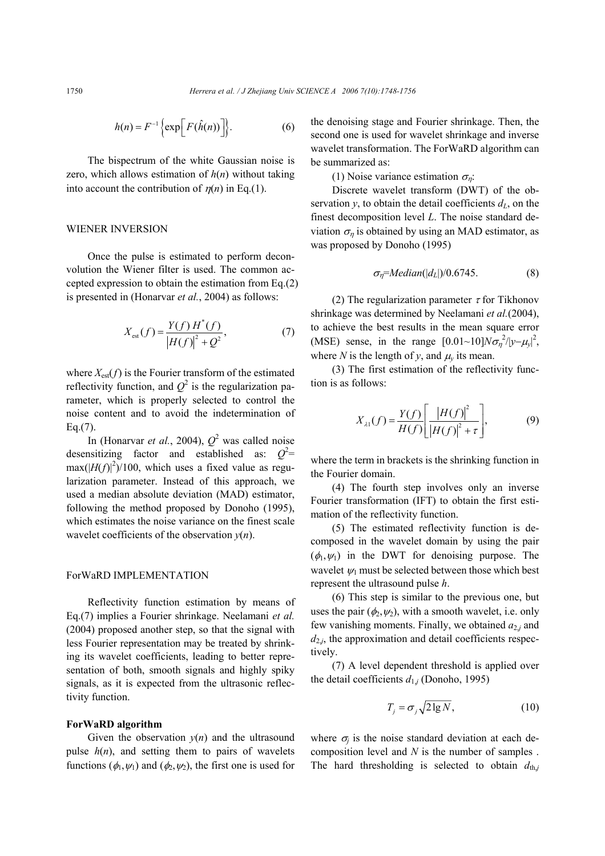$$
h(n) = F^{-1}\left\{\exp\left[F(\hat{h}(n))\right]\right\}.
$$
 (6)

The bispectrum of the white Gaussian noise is zero, which allows estimation of *h*(*n*) without taking into account the contribution of  $\eta(n)$  in Eq.(1).

# WIENER INVERSION

Once the pulse is estimated to perform deconvolution the Wiener filter is used. The common accepted expression to obtain the estimation from Eq.(2) is presented in (Honarvar *et al.*, 2004) as follows:

$$
X_{\text{est}}(f) = \frac{Y(f) H^*(f)}{|H(f)|^2 + Q^2},\tag{7}
$$

where  $X_{est}(f)$  is the Fourier transform of the estimated reflectivity function, and  $Q^2$  is the regularization parameter, which is properly selected to control the noise content and to avoid the indetermination of Eq.(7).

In (Honarvar *et al.*, 2004),  $Q^2$  was called noise desensitizing factor and established as:  $Q^2$ =  $max(|H(f)|^2)/100$ , which uses a fixed value as regularization parameter. Instead of this approach, we used a median absolute deviation (MAD) estimator, following the method proposed by Donoho (1995), which estimates the noise variance on the finest scale wavelet coefficients of the observation *y*(*n*).

# ForWaRD IMPLEMENTATION

Reflectivity function estimation by means of Eq.(7) implies a Fourier shrinkage. Neelamani *et al.* (2004) proposed another step, so that the signal with less Fourier representation may be treated by shrinking its wavelet coefficients, leading to better representation of both, smooth signals and highly spiky signals, as it is expected from the ultrasonic reflectivity function.

#### **ForWaRD algorithm**

Given the observation  $y(n)$  and the ultrasound pulse  $h(n)$ , and setting them to pairs of wavelets functions  $(\phi_1, \psi_1)$  and  $(\phi_2, \psi_2)$ , the first one is used for the denoising stage and Fourier shrinkage. Then, the second one is used for wavelet shrinkage and inverse wavelet transformation. The ForWaRD algorithm can be summarized as:

(1) Noise variance estimation  $\sigma_{\eta}$ :

Discrete wavelet transform (DWT) of the observation *y*, to obtain the detail coefficients  $d<sub>L</sub>$ , on the finest decomposition level *L*. The noise standard deviation  $\sigma_{\eta}$  is obtained by using an MAD estimator, as was proposed by Donoho (1995)

$$
\sigma_{\eta} = Median(|d_L|)/0.6745. \tag{8}
$$

(2) The regularization parameter  $\tau$  for Tikhonov shrinkage was determined by Neelamani *et al.*(2004), to achieve the best results in the mean square error (MSE) sense, in the range  $[0.01~10]$  $N\sigma_\eta^2/|y-\mu_y|^2$ , where *N* is the length of *y*, and  $\mu$ <sup>*y*</sup> its mean.

(3) The first estimation of the reflectivity function is as follows:

$$
X_{\lambda 1}(f) = \frac{Y(f)}{H(f)} \left[ \frac{|H(f)|^2}{|H(f)|^2 + \tau} \right],
$$
(9)

where the term in brackets is the shrinking function in the Fourier domain.

(4) The fourth step involves only an inverse Fourier transformation (IFT) to obtain the first estimation of the reflectivity function.

(5) The estimated reflectivity function is decomposed in the wavelet domain by using the pair  $(\phi_1, \psi_1)$  in the DWT for denoising purpose. The wavelet  $\psi_1$  must be selected between those which best represent the ultrasound pulse *h*.

(6) This step is similar to the previous one, but uses the pair  $(\phi_2, \psi_2)$ , with a smooth wavelet, i.e. only few vanishing moments. Finally, we obtained  $a_{2j}$  and  $d_{2,i}$ , the approximation and detail coefficients respectively.

(7) A level dependent threshold is applied over the detail coefficients  $d_{1j}$  (Donoho, 1995)

$$
T_j = \sigma_j \sqrt{2 \lg N},\tag{10}
$$

where  $\sigma_i$  is the noise standard deviation at each decomposition level and *N* is the number of samples . The hard thresholding is selected to obtain  $d_{\text{th},j}$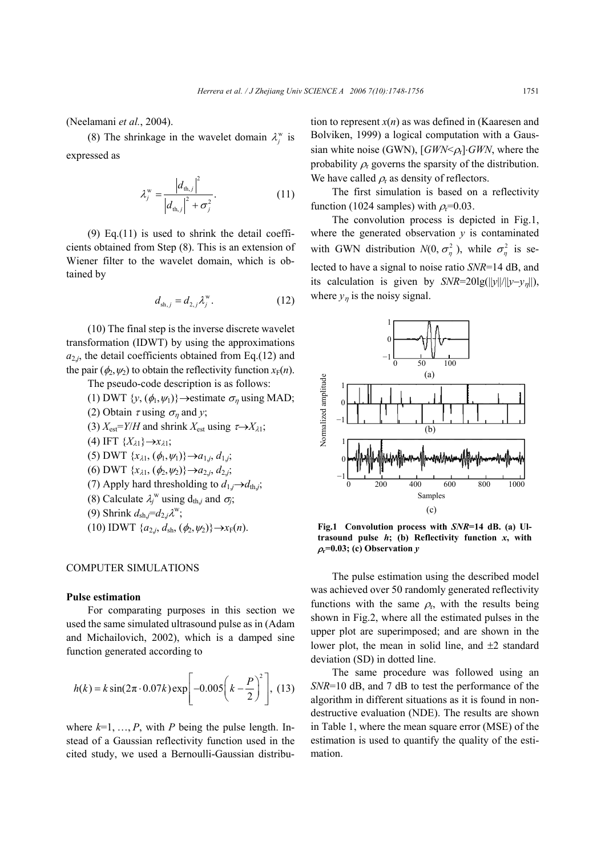(Neelamani *et al.*, 2004).

(8) The shrinkage in the wavelet domain  $\lambda_i^{\rm w}$  is expressed as

$$
\lambda_j^{\rm w} = \frac{|d_{\rm th,j}|^2}{|d_{\rm th,j}|^2 + \sigma_j^2}.
$$
 (11)

(9) Eq.(11) is used to shrink the detail coefficients obtained from Step (8). This is an extension of Wiener filter to the wavelet domain, which is obtained by

$$
d_{\mathrm{sh},j} = d_{2,j} \lambda_j^{\mathrm{w}}.\tag{12}
$$

(10) The final step is the inverse discrete wavelet transformation (IDWT) by using the approximations  $a_{2i}$ , the detail coefficients obtained from Eq.(12) and the pair  $(\phi_2, \psi_2)$  to obtain the reflectivity function  $x_F(n)$ .

The pseudo-code description is as follows:

- (1) DWT  $\{y, (\phi_1, \psi_1)\}\rightarrow \text{estimate } \sigma_n$  using MAD;
- (2) Obtain  $\tau$  using  $\sigma_{\eta}$  and *y*;
- (3)  $X_{est} = Y/H$  and shrink  $X_{est}$  using  $\tau \rightarrow X_{\lambda 1}$ ;
- $(4) \text{ IFT } \{X_{\lambda 1}\}\rightarrow X_{\lambda 1};$

$$
(5) DWT {xλ1, (φ1, ψ1)} \rightarrow a1,j, d1,j,
$$

$$
(6) DWT \{x_{\lambda 1}, (\phi_2, \psi_2)\}\rightarrow a_{2,j}, d_{2,j},
$$

- (7) Apply hard thresholding to  $d_{1,j} \rightarrow d_{\text{th},j}$ ;
- (8) Calculate  $\lambda_j^w$  using  $d_{\text{th},j}$  and  $\sigma_j$ ;

(9) Shrink 
$$
d_{\text{sh},j} = d_{2,j} \lambda^w
$$
;

 $(10)$  IDWT  $\{a_{2,j}, d_{\text{sh}}, (\phi_2, \psi_2)\}\rightarrow x_F(n)$ .

## COMPUTER SIMULATIONS

# **Pulse estimation**

For comparating purposes in this section we used the same simulated ultrasound pulse as in (Adam and Michailovich, 2002), which is a damped sine function generated according to

$$
h(k) = k \sin(2\pi \cdot 0.07k) \exp\left[-0.005\left(k - \frac{P}{2}\right)^2\right], (13)
$$

where  $k=1, ..., P$ , with *P* being the pulse length. Instead of a Gaussian reflectivity function used in the cited study, we used a Bernoulli-Gaussian distribution to represent  $x(n)$  as was defined in (Kaaresen and Bolviken, 1999) a logical computation with a Gaussian white noise (GWN), [*GWN*<*ρ*<sub>r</sub>]⋅*GWN*, where the probability  $\rho$  governs the sparsity of the distribution. We have called  $\rho_r$  as density of reflectors.

The first simulation is based on a reflectivity function (1024 samples) with  $\rho_r$ =0.03.

The convolution process is depicted in Fig.1, where the generated observation *y* is contaminated with GWN distribution  $N(0, \sigma_n^2)$ , while  $\sigma_n^2$  is selected to have a signal to noise ratio *SNR*=14 dB, and its calculation is given by *SNR*=20lg(||*y*||/||*y*−*y*<sub>n</sub>||), where  $y_n$  is the noisy signal.



**Fig.1 Convolution process with** *SNR***=14 dB. (a) Ultrasound pulse** *h***; (b) Reflectivity function** *x***, with** <sup>ρ</sup>**r=0.03; (c) Observation** *y*

The pulse estimation using the described model was achieved over 50 randomly generated reflectivity functions with the same  $\rho_{r}$ , with the results being shown in Fig.2, where all the estimated pulses in the upper plot are superimposed; and are shown in the lower plot, the mean in solid line, and  $\pm 2$  standard deviation (SD) in dotted line.

The same procedure was followed using an *SNR*=10 dB, and 7 dB to test the performance of the algorithm in different situations as it is found in nondestructive evaluation (NDE). The results are shown in Table 1, where the mean square error (MSE) of the estimation is used to quantify the quality of the estimation.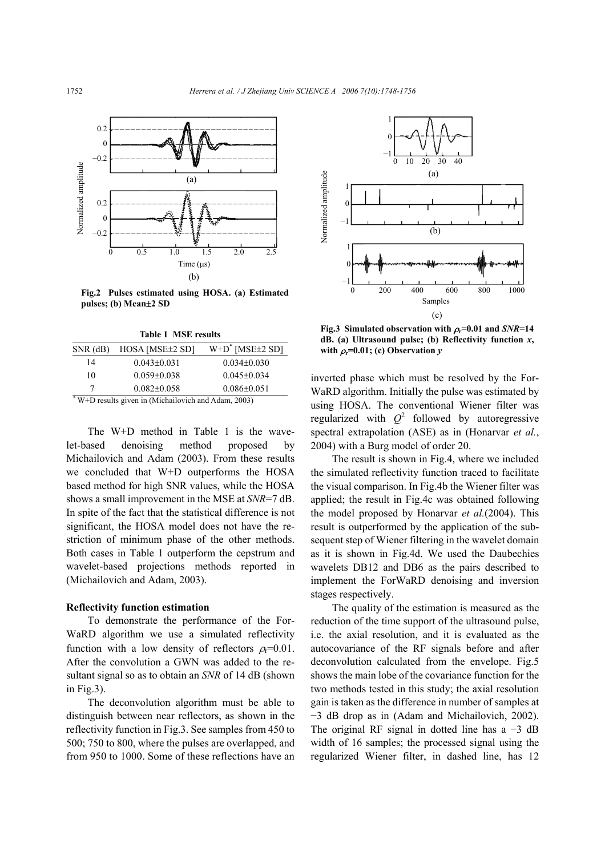

**Fig.2 Pulses estimated using HOSA. (a) Estimated pulses; (b) Mean**±**2 SD**

| <b>Table 1 MSE results</b> |  |  |
|----------------------------|--|--|
|----------------------------|--|--|

| $SNR$ (dB)                                           | HOSA [MSE±2 SD]   | $W+D^*$ [MSE $\pm 2$ SD] |
|------------------------------------------------------|-------------------|--------------------------|
| 14                                                   | $0.043 \pm 0.031$ | $0.034\pm0.030$          |
| 10                                                   | $0.059 \pm 0.038$ | $0.045 \pm 0.034$        |
|                                                      | $0.082\pm0.058$   | $0.086 \pm 0.051$        |
| * W+D results given in (Michailovich and Adam, 2003) |                   |                          |

The W+D method in Table 1 is the wavelet-based denoising method proposed by Michailovich and Adam (2003). From these results we concluded that W+D outperforms the HOSA based method for high SNR values, while the HOSA shows a small improvement in the MSE at *SNR*=7 dB. In spite of the fact that the statistical difference is not significant, the HOSA model does not have the restriction of minimum phase of the other methods. Both cases in Table 1 outperform the cepstrum and wavelet-based projections methods reported in (Michailovich and Adam, 2003).

## **Reflectivity function estimation**

To demonstrate the performance of the For-WaRD algorithm we use a simulated reflectivity function with a low density of reflectors  $\rho_r = 0.01$ . After the convolution a GWN was added to the resultant signal so as to obtain an *SNR* of 14 dB (shown in Fig.3).

The deconvolution algorithm must be able to distinguish between near reflectors, as shown in the reflectivity function in Fig.3. See samples from 450 to 500; 750 to 800, where the pulses are overlapped, and from 950 to 1000. Some of these reflections have an



**Fig.3** Simulated observation with  $\rho_r = 0.01$  and  $SNR = 14$ **dB. (a) Ultrasound pulse; (b) Reflectivity function** *x***,**  with  $\rho_r$ =0.01; (c) Observation *y* 

inverted phase which must be resolved by the For-WaRD algorithm. Initially the pulse was estimated by using HOSA. The conventional Wiener filter was regularized with  $Q^2$  followed by autoregressive spectral extrapolation (ASE) as in (Honarvar *et al.*, 2004) with a Burg model of order 20.

The result is shown in Fig.4, where we included the simulated reflectivity function traced to facilitate the visual comparison. In Fig.4b the Wiener filter was applied; the result in Fig.4c was obtained following the model proposed by Honarvar *et al.*(2004). This result is outperformed by the application of the subsequent step of Wiener filtering in the wavelet domain as it is shown in Fig.4d. We used the Daubechies wavelets DB12 and DB6 as the pairs described to implement the ForWaRD denoising and inversion stages respectively.

The quality of the estimation is measured as the reduction of the time support of the ultrasound pulse, i.e. the axial resolution, and it is evaluated as the autocovariance of the RF signals before and after deconvolution calculated from the envelope. Fig.5 shows the main lobe of the covariance function for the two methods tested in this study; the axial resolution gain is taken as the difference in number of samples at −3 dB drop as in (Adam and Michailovich, 2002). The original RF signal in dotted line has  $a -3$  dB width of 16 samples; the processed signal using the regularized Wiener filter, in dashed line, has 12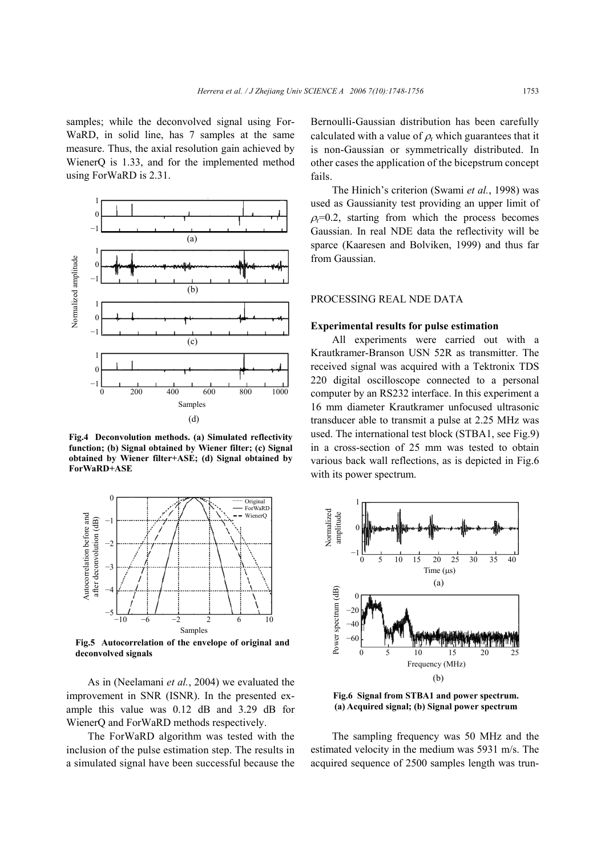samples; while the deconvolved signal using For-WaRD, in solid line, has 7 samples at the same measure. Thus, the axial resolution gain achieved by WienerQ is 1.33, and for the implemented method using ForWaRD is 2.31.



**Fig.4 Deconvolution methods. (a) Simulated reflectivity function; (b) Signal obtained by Wiener filter; (c) Signal obtained by Wiener filter+ASE; (d) Signal obtained by ForWaRD+ASE** 



**Fig.5 Autocorrelation of the envelope of original and**

As in (Neelamani *et al.*, 2004) we evaluated the improvement in SNR (ISNR). In the presented example this value was 0.12 dB and 3.29 dB for WienerQ and ForWaRD methods respectively.

The ForWaRD algorithm was tested with the inclusion of the pulse estimation step. The results in a simulated signal have been successful because the Bernoulli-Gaussian distribution has been carefully calculated with a value of  $\rho_r$  which guarantees that it is non-Gaussian or symmetrically distributed. In other cases the application of the bicepstrum concept fails.

The Hinich's criterion (Swami *et al.*, 1998) was used as Gaussianity test providing an upper limit of  $\rho = 0.2$ , starting from which the process becomes Gaussian. In real NDE data the reflectivity will be sparce (Kaaresen and Bolviken, 1999) and thus far from Gaussian.

# PROCESSING REAL NDE DATA

#### **Experimental results for pulse estimation**

All experiments were carried out with a Krautkramer-Branson USN 52R as transmitter. The received signal was acquired with a Tektronix TDS 220 digital oscilloscope connected to a personal computer by an RS232 interface. In this experiment a 16 mm diameter Krautkramer unfocused ultrasonic transducer able to transmit a pulse at 2.25 MHz was used. The international test block (STBA1, see Fig.9) in a cross-section of 25 mm was tested to obtain various back wall reflections, as is depicted in Fig.6 with its power spectrum.



**Fig.6 Signal from STBA1 and power spectrum. (a) Acquired signal; (b) Signal power spectrum**

The sampling frequency was 50 MHz and the estimated velocity in the medium was 5931 m/s. The acquired sequence of 2500 samples length was trun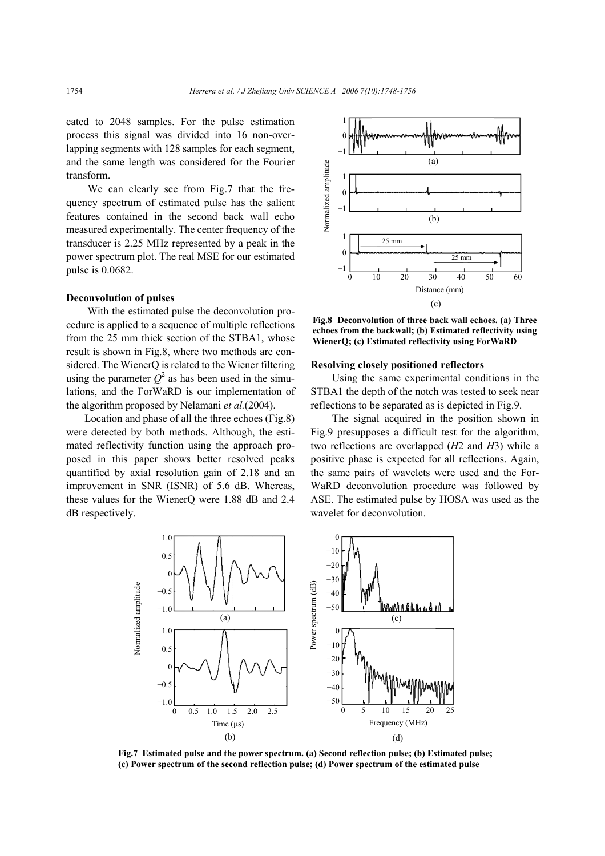cated to 2048 samples. For the pulse estimation process this signal was divided into 16 non-overlapping segments with 128 samples for each segment, and the same length was considered for the Fourier transform.

We can clearly see from Fig.7 that the frequency spectrum of estimated pulse has the salient features contained in the second back wall echo measured experimentally. The center frequency of the transducer is 2.25 MHz represented by a peak in the power spectrum plot. The real MSE for our estimated pulse is 0.0682.

# **Deconvolution of pulses**

With the estimated pulse the deconvolution procedure is applied to a sequence of multiple reflections from the 25 mm thick section of the STBA1, whose result is shown in Fig.8, where two methods are considered. The WienerQ is related to the Wiener filtering using the parameter  $Q^2$  as has been used in the simulations, and the ForWaRD is our implementation of the algorithm proposed by Nelamani *et al.*(2004).

Location and phase of all the three echoes (Fig.8) were detected by both methods. Although, the estimated reflectivity function using the approach proposed in this paper shows better resolved peaks quantified by axial resolution gain of 2.18 and an improvement in SNR (ISNR) of 5.6 dB. Whereas, these values for the WienerQ were 1.88 dB and 2.4 dB respectively.



**Fig.8 Deconvolution of three back wall echoes. (a) Three echoes from the backwall; (b) Estimated reflectivity using WienerQ; (c) Estimated reflectivity using ForWaRD**

#### **Resolving closely positioned reflectors**

Using the same experimental conditions in the STBA1 the depth of the notch was tested to seek near reflections to be separated as is depicted in Fig.9.

The signal acquired in the position shown in Fig.9 presupposes a difficult test for the algorithm, two reflections are overlapped (*H*2 and *H*3) while a positive phase is expected for all reflections. Again, the same pairs of wavelets were used and the For-WaRD deconvolution procedure was followed by ASE. The estimated pulse by HOSA was used as the wavelet for deconvolution.



**Fig.7 Estimated pulse and the power spectrum. (a) Second reflection pulse; (b) Estimated pulse; (c) Power spectrum of the second reflection pulse; (d) Power spectrum of the estimated pulse**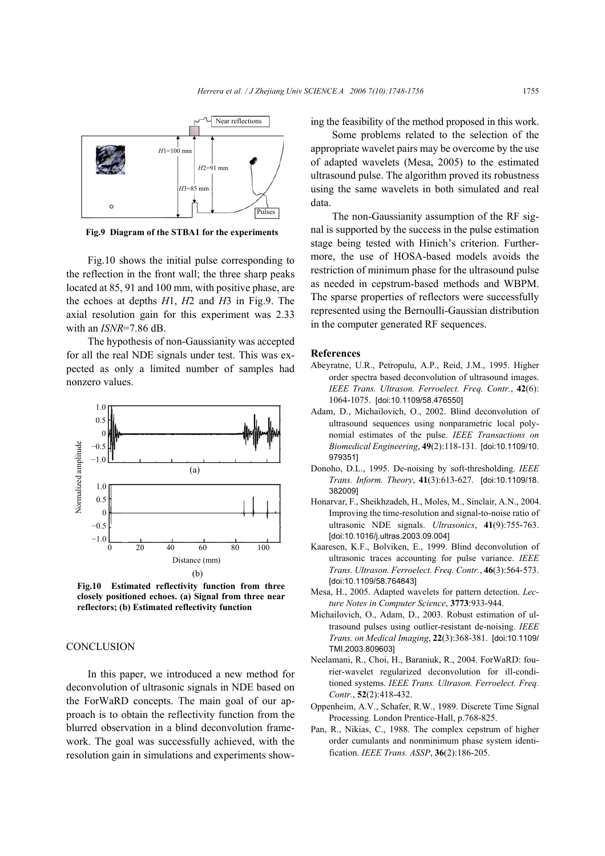

**Fig.9 Diagram of the STBA1 for the experiments**

Fig.10 shows the initial pulse corresponding to the reflection in the front wall; the three sharp peaks located at 85, 91 and 100 mm, with positive phase, are the echoes at depths *H*1, *H*2 and *H*3 in Fig.9. The axial resolution gain for this experiment was 2.33 with an *ISNR*=7.86 dB.

The hypothesis of non-Gaussianity was accepted for all the real NDE signals under test. This was expected as only a limited number of samples had nonzero values.



**Fig.10 Estimated reflectivity function from three closely positioned echoes. (a) Signal from three near reflectors; (b) Estimated reflectivity function**

#### **CONCLUSION**

In this paper, we introduced a new method for deconvolution of ultrasonic signals in NDE based on the ForWaRD concepts. The main goal of our approach is to obtain the reflectivity function from the blurred observation in a blind deconvolution framework. The goal was successfully achieved, with the resolution gain in simulations and experiments showing the feasibility of the method proposed in this work.

Some problems related to the selection of the appropriate wavelet pairs may be overcome by the use of adapted wavelets (Mesa, 2005) to the estimated ultrasound pulse. The algorithm proved its robustness using the same wavelets in both simulated and real data.

The non-Gaussianity assumption of the RF signal is supported by the success in the pulse estimation stage being tested with Hinich's criterion. Furthermore, the use of HOSA-based models avoids the restriction of minimum phase for the ultrasound pulse as needed in cepstrum-based methods and WBPM. The sparse properties of reflectors were successfully represented using the Bernoulli-Gaussian distribution in the computer generated RF sequences.

#### **References**

- Abeyratne, U.R., Petropulu, A.P., Reid, J.M., 1995. Higher order spectra based deconvolution of ultrasound images. *IEEE Trans. Ultrason. Ferroelect. Freq. Contr.*, **42**(6): 1064-1075. [doi:10.1109/58.476550]
- Adam, D., Michailovich, O., 2002. Blind deconvolution of ultrasound sequences using nonparametric local polynomial estimates of the pulse. *IEEE Transactions on Biomedical Engineering*, **49**(2):118-131. [doi:10.1109/10. 979351]
- Donoho, D.L., 1995. De-noising by soft-thresholding. *IEEE Trans. Inform. Theory*, **41**(3):613-627. [doi:10.1109/18. 382009]
- Honarvar, F., Sheikhzadeh, H., Moles, M., Sinclair, A.N., 2004. Improving the time-resolution and signal-to-noise ratio of ultrasonic NDE signals. *Ultrasonics*, **41**(9):755-763. [doi:10.1016/j.ultras.2003.09.004]
- Kaaresen, K.F., Bolviken, E., 1999. Blind deconvolution of ultrasonic traces accounting for pulse variance. *IEEE Trans. Ultrason. Ferroelect. Freq. Contr.*, **46**(3):564-573. [doi:10.1109/58.764843]
- Mesa, H., 2005. Adapted wavelets for pattern detection. *Lecture Notes in Computer Science*, **3773**:933-944.
- Michailovich, O., Adam, D., 2003. Robust estimation of ultrasound pulses using outlier-resistant de-noising. *IEEE Trans. on Medical Imaging*, **22**(3):368-381. [doi:10.1109/ TMI.2003.809603]
- Neelamani, R., Choi, H., Baraniuk, R., 2004. ForWaRD: fourier-wavelet regularized deconvolution for ill-conditioned systems. *IEEE Trans. Ultrason. Ferroelect. Freq. Contr.*, **52**(2):418-432.
- Oppenheim, A.V., Schafer, R.W., 1989. Discrete Time Signal Processing. London Prentice-Hall, p.768-825.
- Pan, R., Nikias, C., 1988. The complex cepstrum of higher order cumulants and nonminimum phase system identification. *IEEE Trans. ASSP*, **36**(2):186-205.